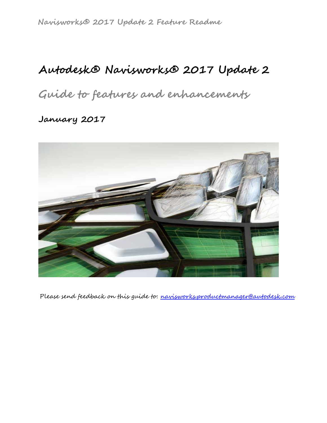**Navisworks® 2017 Update 2 Feature Readme**

## **Autodesk® Navisworks® 2017 Update 2**

**Guide to features and enhancements**

**January 2017**



Please send feedback on this guide to: [navisworks.productmanager@autodesk.com](mailto:navisworks.productmanager@autodesk.com)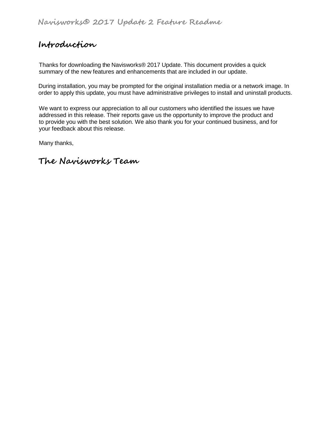## **Introduction**

Thanks for downloading the Navisworks® 2017 Update. This document provides a quick summary of the new features and enhancements that are included in our update.

During installation, you may be prompted for the original installation media or a network image. In order to apply this update, you must have administrative privileges to install and uninstall products.

We want to express our appreciation to all our customers who identified the issues we have addressed in this release. Their reports gave us the opportunity to improve the product and to provide you with the best solution. We also thank you for your continued business, and for your feedback about this release.

Many thanks,

**The Navisworks Team**